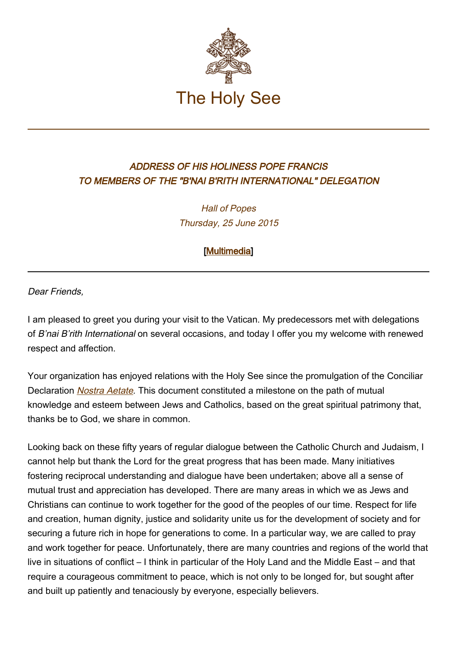

## ADDRESS OF HIS HOLINESS POPE FRANCIS TO MEMBERS OF THE "B'NAI B'RITH INTERNATIONAL" DELEGATION

Hall of Popes Thursday, 25 June 2015

[\[Multimedia](http://w2.vatican.va/content/francesco/en/events/event.dir.html/content/vaticanevents/en/2015/6/25/bnaibrith.html)]

Dear Friends,

I am pleased to greet you during your visit to the Vatican. My predecessors met with delegations of B'nai B'rith International on several occasions, and today I offer you my welcome with renewed respect and affection.

Your organization has enjoyed relations with the Holy See since the promulgation of the Conciliar Declaration *[Nostra Aetate](http://www.vatican.va/archive/hist_councils/ii_vatican_council/documents/vat-ii_decl_19651028_nostra-aetate_en.html)*. This document constituted a milestone on the path of mutual knowledge and esteem between Jews and Catholics, based on the great spiritual patrimony that, thanks be to God, we share in common.

Looking back on these fifty years of regular dialogue between the Catholic Church and Judaism, I cannot help but thank the Lord for the great progress that has been made. Many initiatives fostering reciprocal understanding and dialogue have been undertaken; above all a sense of mutual trust and appreciation has developed. There are many areas in which we as Jews and Christians can continue to work together for the good of the peoples of our time. Respect for life and creation, human dignity, justice and solidarity unite us for the development of society and for securing a future rich in hope for generations to come. In a particular way, we are called to pray and work together for peace. Unfortunately, there are many countries and regions of the world that live in situations of conflict – I think in particular of the Holy Land and the Middle East – and that require a courageous commitment to peace, which is not only to be longed for, but sought after and built up patiently and tenaciously by everyone, especially believers.